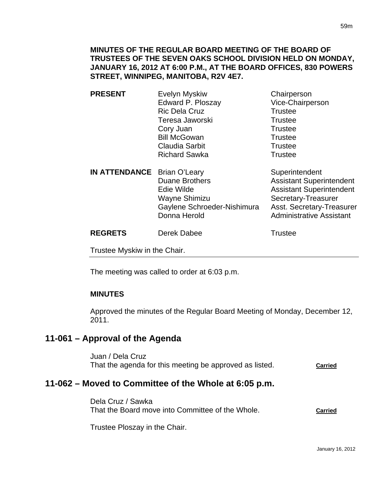| <b>PRESENT</b>                     | Evelyn Myskiw<br>Edward P. Ploszay<br><b>Ric Dela Cruz</b><br>Teresa Jaworski<br>Cory Juan<br><b>Bill McGowan</b><br><b>Claudia Sarbit</b><br><b>Richard Sawka</b> | Chairperson<br>Vice-Chairperson<br><b>Trustee</b><br><b>Trustee</b><br><b>Trustee</b><br><b>Trustee</b><br><b>Trustee</b><br><b>Trustee</b>                          |
|------------------------------------|--------------------------------------------------------------------------------------------------------------------------------------------------------------------|----------------------------------------------------------------------------------------------------------------------------------------------------------------------|
| <b>IN ATTENDANCE</b> Brian O'Leary | <b>Duane Brothers</b><br>Edie Wilde<br>Wayne Shimizu<br>Gaylene Schroeder-Nishimura<br>Donna Herold                                                                | Superintendent<br><b>Assistant Superintendent</b><br><b>Assistant Superintendent</b><br>Secretary-Treasurer<br>Asst. Secretary-Treasurer<br>Administrative Assistant |

**REGRETS** Derek Dabee Trustee

Trustee Myskiw in the Chair.

The meeting was called to order at 6:03 p.m.

### **MINUTES**

Approved the minutes of the Regular Board Meeting of Monday, December 12, 2011.

# **11-061 – Approval of the Agenda**

Juan / Dela Cruz That the agenda for this meeting be approved as listed. **Carried**

# **11-062 – Moved to Committee of the Whole at 6:05 p.m.**

Dela Cruz / Sawka That the Board move into Committee of the Whole. **Carried**

Trustee Ploszay in the Chair.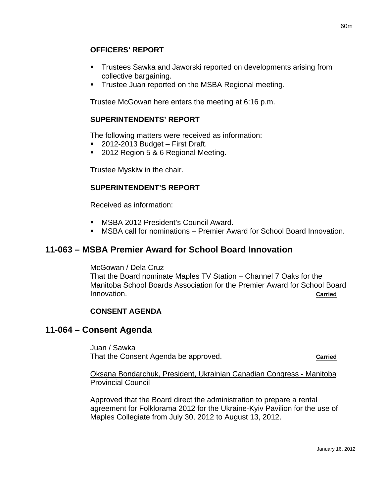## **OFFICERS' REPORT**

- Trustees Sawka and Jaworski reported on developments arising from collective bargaining.
- **Trustee Juan reported on the MSBA Regional meeting.**

Trustee McGowan here enters the meeting at 6:16 p.m.

### **SUPERINTENDENTS' REPORT**

The following matters were received as information:

- 2012-2013 Budget First Draft.
- 2012 Region 5 & 6 Regional Meeting.

Trustee Myskiw in the chair.

## **SUPERINTENDENT'S REPORT**

Received as information:

- MSBA 2012 President's Council Award.
- MSBA call for nominations Premier Award for School Board Innovation.

# **11-063 – MSBA Premier Award for School Board Innovation**

McGowan / Dela Cruz

That the Board nominate Maples TV Station – Channel 7 Oaks for the Manitoba School Boards Association for the Premier Award for School Board Innovation. **Carried**

### **CONSENT AGENDA**

## **11-064 – Consent Agenda**

Juan / Sawka That the Consent Agenda be approved. **Carried**

Oksana Bondarchuk, President, Ukrainian Canadian Congress - Manitoba Provincial Council

Approved that the Board direct the administration to prepare a rental agreement for Folklorama 2012 for the Ukraine-Kyiv Pavilion for the use of Maples Collegiate from July 30, 2012 to August 13, 2012.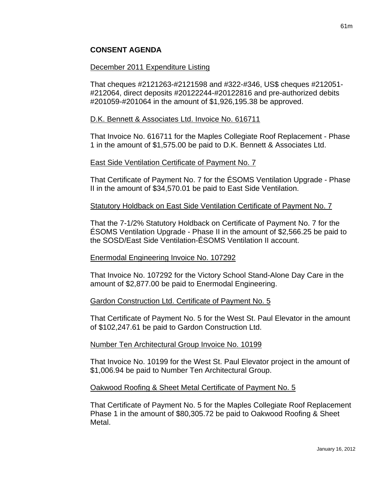## **CONSENT AGENDA**

#### December 2011 Expenditure Listing

That cheques #2121263-#2121598 and #322-#346, US\$ cheques #212051- #212064, direct deposits #20122244-#20122816 and pre-authorized debits #201059-#201064 in the amount of \$1,926,195.38 be approved.

#### D.K. Bennett & Associates Ltd. Invoice No. 616711

That Invoice No. 616711 for the Maples Collegiate Roof Replacement - Phase 1 in the amount of \$1,575.00 be paid to D.K. Bennett & Associates Ltd.

#### East Side Ventilation Certificate of Payment No. 7

That Certificate of Payment No. 7 for the ÉSOMS Ventilation Upgrade - Phase II in the amount of \$34,570.01 be paid to East Side Ventilation.

#### Statutory Holdback on East Side Ventilation Certificate of Payment No. 7

That the 7-1/2% Statutory Holdback on Certificate of Payment No. 7 for the ÉSOMS Ventilation Upgrade - Phase II in the amount of \$2,566.25 be paid to the SOSD/East Side Ventilation-ÉSOMS Ventilation II account.

### Enermodal Engineering Invoice No. 107292

That Invoice No. 107292 for the Victory School Stand-Alone Day Care in the amount of \$2,877.00 be paid to Enermodal Engineering.

#### Gardon Construction Ltd. Certificate of Payment No. 5

That Certificate of Payment No. 5 for the West St. Paul Elevator in the amount of \$102,247.61 be paid to Gardon Construction Ltd.

#### Number Ten Architectural Group Invoice No. 10199

That Invoice No. 10199 for the West St. Paul Elevator project in the amount of \$1,006.94 be paid to Number Ten Architectural Group.

#### Oakwood Roofing & Sheet Metal Certificate of Payment No. 5

That Certificate of Payment No. 5 for the Maples Collegiate Roof Replacement Phase 1 in the amount of \$80,305.72 be paid to Oakwood Roofing & Sheet Metal.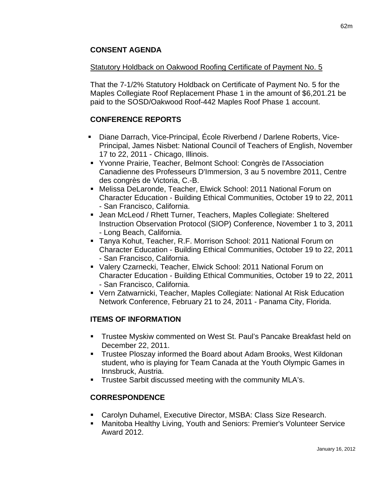## **CONSENT AGENDA**

### Statutory Holdback on Oakwood Roofing Certificate of Payment No. 5

That the 7-1/2% Statutory Holdback on Certificate of Payment No. 5 for the Maples Collegiate Roof Replacement Phase 1 in the amount of \$6,201.21 be paid to the SOSD/Oakwood Roof-442 Maples Roof Phase 1 account.

## **CONFERENCE REPORTS**

- Diane Darrach, Vice-Principal, École Riverbend / Darlene Roberts, Vice-Principal, James Nisbet: National Council of Teachers of English, November 17 to 22, 2011 - Chicago, Illinois.
- Yvonne Prairie, Teacher, Belmont School: Congrès de l'Association Canadienne des Professeurs D'Immersion, 3 au 5 novembre 2011, Centre des congrès de Victoria, C.-B.
- Melissa DeLaronde, Teacher, Elwick School: 2011 National Forum on Character Education - Building Ethical Communities, October 19 to 22, 2011 - San Francisco, California.
- Jean McLeod / Rhett Turner, Teachers, Maples Collegiate: Sheltered Instruction Observation Protocol (SIOP) Conference, November 1 to 3, 2011 - Long Beach, California.
- Tanya Kohut, Teacher, R.F. Morrison School: 2011 National Forum on Character Education - Building Ethical Communities, October 19 to 22, 2011 - San Francisco, California.
- Valery Czarnecki, Teacher, Elwick School: 2011 National Forum on Character Education - Building Ethical Communities, October 19 to 22, 2011 - San Francisco, California.
- Vern Zatwarnicki, Teacher, Maples Collegiate: National At Risk Education Network Conference, February 21 to 24, 2011 - Panama City, Florida.

## **ITEMS OF INFORMATION**

- Trustee Myskiw commented on West St. Paul's Pancake Breakfast held on December 22, 2011.
- Trustee Ploszay informed the Board about Adam Brooks, West Kildonan student, who is playing for Team Canada at the Youth Olympic Games in Innsbruck, Austria.
- **Trustee Sarbit discussed meeting with the community MLA's.**

## **CORRESPONDENCE**

- Carolyn Duhamel, Executive Director, MSBA: Class Size Research.
- Manitoba Healthy Living, Youth and Seniors: Premier's Volunteer Service Award 2012.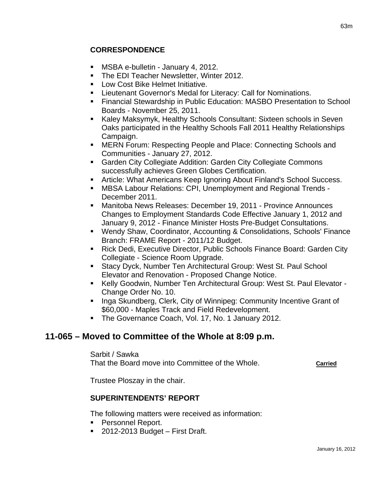## **CORRESPONDENCE**

- MSBA e-bulletin January 4, 2012.
- **The EDI Teacher Newsletter, Winter 2012.**
- **Low Cost Bike Helmet Initiative.**
- Lieutenant Governor's Medal for Literacy: Call for Nominations.
- Financial Stewardship in Public Education: MASBO Presentation to School Boards - November 25, 2011.
- Kaley Maksymyk, Healthy Schools Consultant: Sixteen schools in Seven Oaks participated in the Healthy Schools Fall 2011 Healthy Relationships Campaign.
- **EXEGN** Forum: Respecting People and Place: Connecting Schools and Communities - January 27, 2012.
- **Garden City Collegiate Addition: Garden City Collegiate Commons** successfully achieves Green Globes Certification.
- Article: What Americans Keep Ignoring About Finland's School Success.
- MBSA Labour Relations: CPI, Unemployment and Regional Trends December 2011.
- Manitoba News Releases: December 19, 2011 Province Announces Changes to Employment Standards Code Effective January 1, 2012 and January 9, 2012 - Finance Minister Hosts Pre-Budget Consultations.
- Wendy Shaw, Coordinator, Accounting & Consolidations, Schools' Finance Branch: FRAME Report - 2011/12 Budget.
- Rick Dedi, Executive Director, Public Schools Finance Board: Garden City Collegiate - Science Room Upgrade.
- Stacy Dyck, Number Ten Architectural Group: West St. Paul School Elevator and Renovation - Proposed Change Notice.
- Kelly Goodwin, Number Ten Architectural Group: West St. Paul Elevator Change Order No. 10.
- **Inga Skundberg, Clerk, City of Winnipeg: Community Incentive Grant of** \$60,000 - Maples Track and Field Redevelopment.
- **The Governance Coach, Vol. 17, No. 1 January 2012.**

# **11-065 – Moved to Committee of the Whole at 8:09 p.m.**

Sarbit / Sawka That the Board move into Committee of the Whole. **Carried**

Trustee Ploszay in the chair.

### **SUPERINTENDENTS' REPORT**

The following matters were received as information:

- **Personnel Report.**
- 2012-2013 Budget First Draft.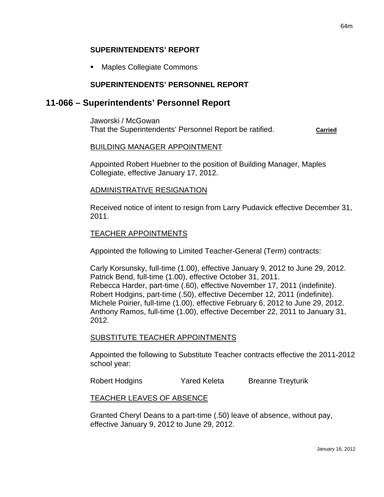#### **SUPERINTENDENTS' REPORT**

Maples Collegiate Commons

### **SUPERINTENDENTS' PERSONNEL REPORT**

## **11-066 – Superintendents' Personnel Report**

Jaworski / McGowan That the Superintendents' Personnel Report be ratified. **Carried**

#### BUILDING MANAGER APPOINTMENT

Appointed Robert Huebner to the position of Building Manager, Maples Collegiate, effective January 17, 2012.

#### ADMINISTRATIVE RESIGNATION

Received notice of intent to resign from Larry Pudavick effective December 31, 2011.

#### TEACHER APPOINTMENTS

Appointed the following to Limited Teacher-General (Term) contracts:

Carly Korsunsky, full-time (1.00), effective January 9, 2012 to June 29, 2012. Patrick Bend, full-time (1.00), effective October 31, 2011. Rebecca Harder, part-time (.60), effective November 17, 2011 (indefinite). Robert Hodgins, part-time (.50), effective December 12, 2011 (indefinite). Michele Poirier, full-time (1.00), effective February 6, 2012 to June 29, 2012. Anthony Ramos, full-time (1.00), effective December 22, 2011 to January 31, 2012.

#### SUBSTITUTE TEACHER APPOINTMENTS

Appointed the following to Substitute Teacher contracts effective the 2011-2012 school year:

Robert Hodgins **Yared Keleta** Breanne Treyturik

#### TEACHER LEAVES OF ABSENCE

Granted Cheryl Deans to a part-time (.50) leave of absence, without pay, effective January 9, 2012 to June 29, 2012.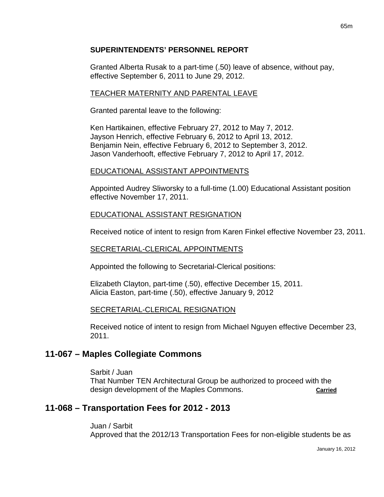## **SUPERINTENDENTS' PERSONNEL REPORT**

Granted Alberta Rusak to a part-time (.50) leave of absence, without pay, effective September 6, 2011 to June 29, 2012.

## TEACHER MATERNITY AND PARENTAL LEAVE

Granted parental leave to the following:

Ken Hartikainen, effective February 27, 2012 to May 7, 2012. Jayson Henrich, effective February 6, 2012 to April 13, 2012. Benjamin Nein, effective February 6, 2012 to September 3, 2012. Jason Vanderhooft, effective February 7, 2012 to April 17, 2012.

## EDUCATIONAL ASSISTANT APPOINTMENTS

Appointed Audrey Sliworsky to a full-time (1.00) Educational Assistant position effective November 17, 2011.

## EDUCATIONAL ASSISTANT RESIGNATION

Received notice of intent to resign from Karen Finkel effective November 23, 2011.

### SECRETARIAL-CLERICAL APPOINTMENTS

Appointed the following to Secretarial-Clerical positions:

Elizabeth Clayton, part-time (.50), effective December 15, 2011. Alicia Easton, part-time (.50), effective January 9, 2012

### SECRETARIAL-CLERICAL RESIGNATION

Received notice of intent to resign from Michael Nguyen effective December 23, 2011.

# **11-067 – Maples Collegiate Commons**

Sarbit / Juan That Number TEN Architectural Group be authorized to proceed with the design development of the Maples Commons. **Carried**

# **11-068 – Transportation Fees for 2012 - 2013**

Juan / Sarbit Approved that the 2012/13 Transportation Fees for non-eligible students be as